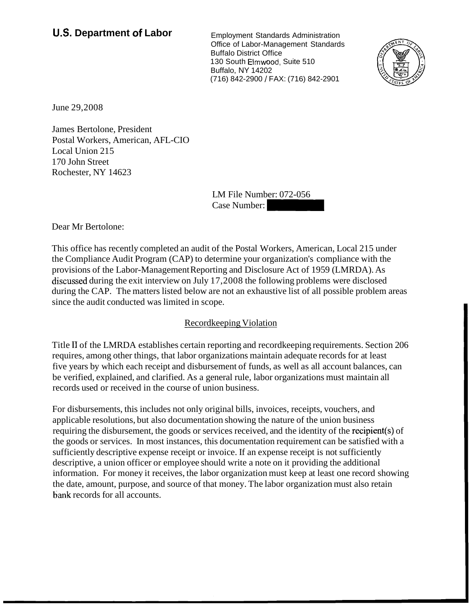# **U.S. Department of Labor** Employment Standards Administration

Office of Labor-Management Standards Buffalo District Office 130 South Elmwood, Suite 510 Buffalo, NY 14202 (716) 842-2900 / FAX: (716) 842-2901 Office of Labor-Management Standards<br>
Buffalo District Office<br>
30 South Elmwood, Suite 510<br>
201716) 842-2900 / FAX: (716) 842-2901<br>
716) 842-2900 / FAX: (716) 842-2901<br>
LM File Number: 072-056<br>
Case Number:



June 29,2008

James Bertolone, President Postal Workers, American, AFL-CIO Local Union 215 1 70 John Street Rochester, NY 14623

LM File Number: 072-056

Dear Mr Bertolone:

This office has recently completed an audit of the Postal Workers, American, Local 215 under the Compliance Audit Program (CAP) to determine your organization's compliance with the provisions of the Labor-Management Reporting and Disclosure Act of 1959 (LMRDA). As discussed during the exit interview on July 17,2008 the following problems were disclosed during the CAP. The matters listed below are not an exhaustive list of all possible problem areas since the audit conducted was limited in scope.

# Recordkeeping Violation

Title I1 of the LMRDA establishes certain reporting and recordkeeping requirements. Section 206 requires, among other things, that labor organizations maintain adequate records for at least five years by which each receipt and disbursement of funds, as well as all account balances, can be verified, explained, and clarified. As a general rule, labor organizations must maintain all records used or received in the course of union business.

For disbursements, this includes not only original bills, invoices, receipts, vouchers, and applicable resolutions, but also documentation showing the nature of the union business requiring the disbursement, the goods or services received, and the identity of the recipient(s) of the goods or services. In most instances, this documentation requirement can be satisfied with a sufficiently descriptive expense receipt or invoice. If an expense receipt is not sufficiently descriptive, a union officer or employee should write a note on it providing the additional information. For money it receives, the labor organization must keep at least one record showing the date, amount, purpose, and source of that money. The labor organization must also retain bank records for all accounts.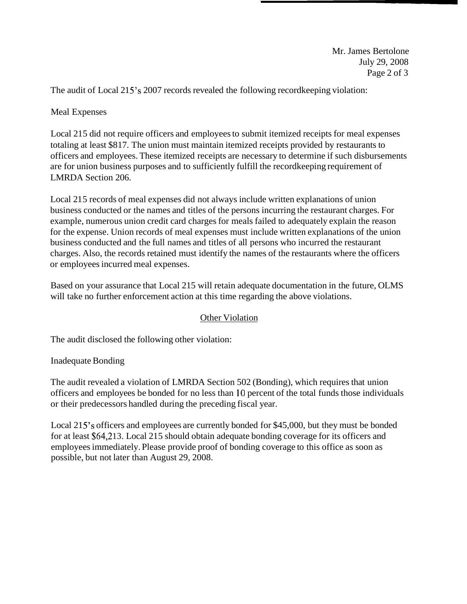Mr. James Bertolone July 29, 2008 Page 2 of 3

The audit of Local 215's 2007 records revealed the following recordkeeping violation:

## Meal Expenses

Local 215 did not require officers and employees to submit itemized receipts for meal expenses totaling at least \$8 17. The union must maintain itemized receipts provided by restaurants to officers and employees. These itemized receipts are necessary to determine if such disbursements are for union business purposes and to sufficiently fulfill the recordkeeping requirement of LMRDA Section 206.

Local 21 5 records of meal expenses did not always include written explanations of union business conducted or the names and titles of the persons incurring the restaurant charges. For example, numerous union credit card charges for meals failed to adequately explain the reason for the expense. Union records of meal expenses must include written explanations of the union business conducted and the full names and titles of all persons who incurred the restaurant charges. Also, the records retained must identify the names of the restaurants where the officers or employees incurred meal expenses.

Based on your assurance that Local 215 will retain adequate documentation in the future, OLMS will take no further enforcement action at this time regarding the above violations.

### Other Violation

The audit disclosed the following other violation:

### Inadequate Bonding

The audit revealed a violation of LMRDA Section 502 (Bonding), which requires that union officers and employees be bonded for no less than 10 percent of the total funds those individuals or their predecessors handled during the preceding fiscal year.

Local 215's officers and employees are currently bonded for \$45,000, but they must be bonded for at least \$64,213. Local 215 should obtain adequate bonding coverage for its officers and employees immediately. Please provide proof of bonding coverage to this office as soon as possible, but not later than August 29, 2008.